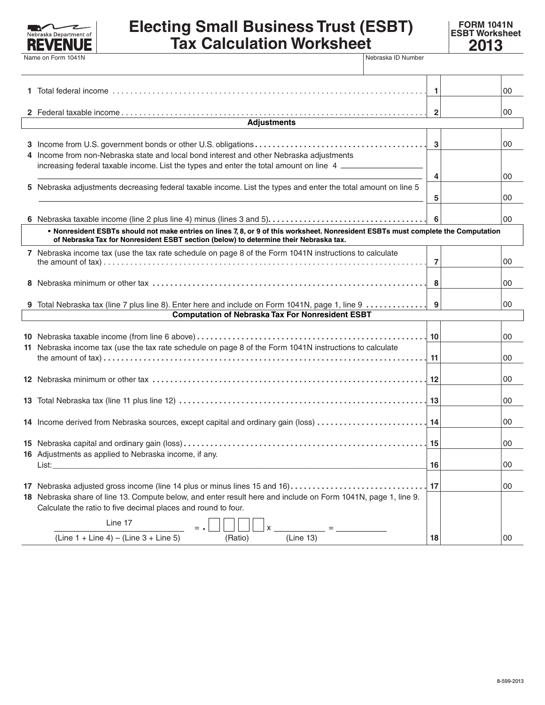

## **Electing Small Business Trust (ESBT) Tax Calculation Worksheet**

**FORM 1041N ESBT Worksheet** 

|                                                                                                                                    |                                                                                                                                                                                            | $\overline{1}$ |  | 00       |  |
|------------------------------------------------------------------------------------------------------------------------------------|--------------------------------------------------------------------------------------------------------------------------------------------------------------------------------------------|----------------|--|----------|--|
|                                                                                                                                    |                                                                                                                                                                                            | $\overline{2}$ |  | 00       |  |
| <b>Adjustments</b>                                                                                                                 |                                                                                                                                                                                            |                |  |          |  |
|                                                                                                                                    | 4 Income from non-Nebraska state and local bond interest and other Nebraska adjustments<br>increasing federal taxable income. List the types and enter the total amount on line 4          | $\mathbf{3}$   |  | 00       |  |
|                                                                                                                                    | 5 Nebraska adjustments decreasing federal taxable income. List the types and enter the total amount on line 5                                                                              | 4<br>5         |  | 00<br>00 |  |
|                                                                                                                                    |                                                                                                                                                                                            | 6              |  | 00       |  |
| . Nonresident ESBTs should not make entries on lines 7, 8, or 9 of this worksheet. Nonresident ESBTs must complete the Computation |                                                                                                                                                                                            |                |  |          |  |
| of Nebraska Tax for Nonresident ESBT section (below) to determine their Nebraska tax.                                              |                                                                                                                                                                                            |                |  |          |  |
|                                                                                                                                    | 7 Nebraska income tax (use the tax rate schedule on page 8 of the Form 1041N instructions to calculate                                                                                     | -7             |  | 00       |  |
|                                                                                                                                    |                                                                                                                                                                                            | 8              |  | 00       |  |
|                                                                                                                                    | 9 Total Nebraska tax (line 7 plus line 8). Enter here and include on Form 1041N, page 1, line 9                                                                                            | 9              |  | 00       |  |
| <b>Computation of Nebraska Tax For Nonresident ESBT</b>                                                                            |                                                                                                                                                                                            |                |  |          |  |
|                                                                                                                                    | 11 Nebraska income tax (use the tax rate schedule on page 8 of the Form 1041N instructions to calculate                                                                                    | 10             |  | 00       |  |
|                                                                                                                                    |                                                                                                                                                                                            | 11             |  | 00       |  |
|                                                                                                                                    |                                                                                                                                                                                            | 12             |  | 00       |  |
|                                                                                                                                    |                                                                                                                                                                                            | 13             |  | 00       |  |
|                                                                                                                                    | 14 Income derived from Nebraska sources, except capital and ordinary gain (loss)                                                                                                           | 14             |  | 00       |  |
|                                                                                                                                    | 16 Adjustments as applied to Nebraska income, if any.                                                                                                                                      | 15             |  | 00       |  |
|                                                                                                                                    | List:                                                                                                                                                                                      | 16             |  | $00\,$   |  |
|                                                                                                                                    | 17 Nebraska adjusted gross income (line 14 plus or minus lines 15 and 16)<br>18 Nebraska share of line 13. Compute below, and enter result here and include on Form 1041N, page 1, line 9. | 17             |  | 00       |  |
|                                                                                                                                    | Calculate the ratio to five decimal places and round to four.<br>Line 17                                                                                                                   |                |  |          |  |
|                                                                                                                                    | $(Line 1 + Line 4) - (Line 3 + Line 5)$<br>(Ratio)<br>(Line 13)                                                                                                                            | 18             |  | 00       |  |